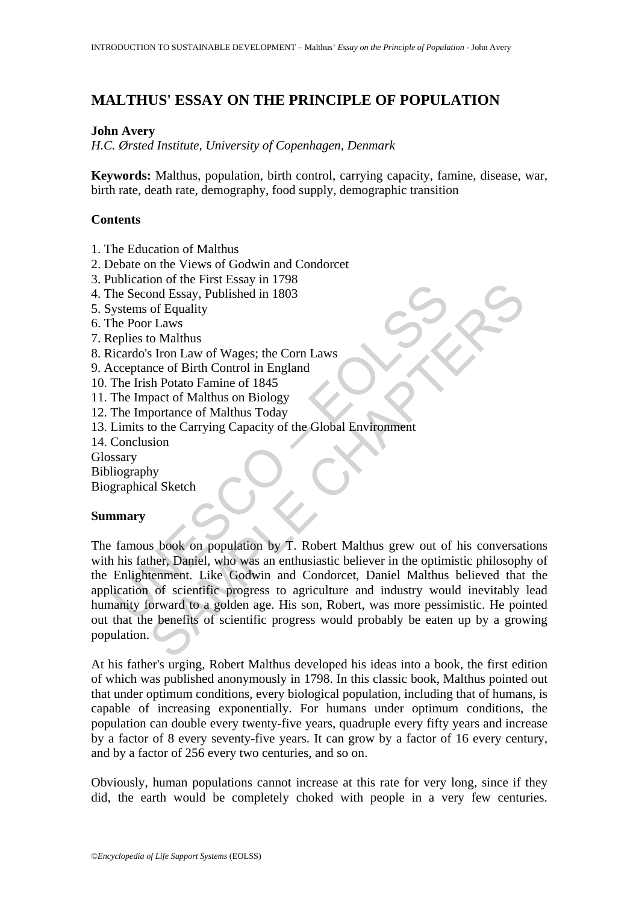# **MALTHUS' ESSAY ON THE PRINCIPLE OF POPULATION**

## **John Avery**

*H.C. Ørsted Institute, University of Copenhagen, Denmark* 

**Keywords:** Malthus, population, birth control, carrying capacity, famine, disease, war, birth rate, death rate, demography, food supply, demographic transition

## **Contents**

- 1. The Education of Malthus
- 2. Debate on the Views of Godwin and Condorcet
- 3. Publication of the First Essay in 1798
- 4. The Second Essay, Published in 1803
- 5. Systems of Equality
- 6. The Poor Laws
- 7. Replies to Malthus
- 8. Ricardo's Iron Law of Wages; the Corn Laws
- 9. Acceptance of Birth Control in England
- 10. The Irish Potato Famine of 1845
- 11. The Impact of Malthus on Biology
- 12. The Importance of Malthus Today
- 13. Limits to the Carrying Capacity of the Global Environment
- 14. Conclusion
- Glossary
- Bibliography
- Biographical Sketch

### **Summary**

Exame To the Second Essay, Published in 1803<br>
The Second Essay, Published in 1803<br>
Systems of Equality<br>
the Poor Laws<br>
eplies to Malthus<br>
cicardo's Iron Law of Wages; the Corn Laws<br>
creation Conclusion<br>
Conclusion<br>
The Iri For the Triat Essay Published in 1803<br>
and Essay, Published in 1803<br>
of Equality<br>
traws<br>
s Iron Law of Wages; the Corn Laws<br>
shock of Mathlus on Biology<br>
portance of Mathlus Today<br>
portance of Mathlus Today<br>
portance of Ma The famous book on population by T. Robert Malthus grew out of his conversations with his father, Daniel, who was an enthusiastic believer in the optimistic philosophy of the Enlightenment. Like Godwin and Condorcet, Daniel Malthus believed that the application of scientific progress to agriculture and industry would inevitably lead humanity forward to a golden age. His son, Robert, was more pessimistic. He pointed out that the benefits of scientific progress would probably be eaten up by a growing population.

At his father's urging, Robert Malthus developed his ideas into a book, the first edition of which was published anonymously in 1798. In this classic book, Malthus pointed out that under optimum conditions, every biological population, including that of humans, is capable of increasing exponentially. For humans under optimum conditions, the population can double every twenty-five years, quadruple every fifty years and increase by a factor of 8 every seventy-five years. It can grow by a factor of 16 every century, and by a factor of 256 every two centuries, and so on.

Obviously, human populations cannot increase at this rate for very long, since if they did, the earth would be completely choked with people in a very few centuries.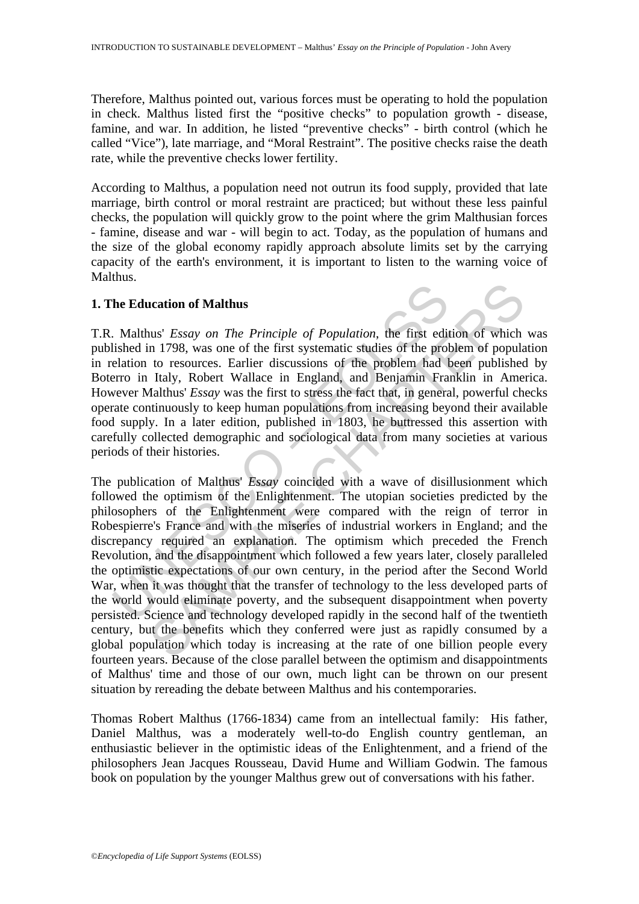Therefore, Malthus pointed out, various forces must be operating to hold the population in check. Malthus listed first the "positive checks" to population growth - disease, famine, and war. In addition, he listed "preventive checks" - birth control (which he called "Vice"), late marriage, and "Moral Restraint". The positive checks raise the death rate, while the preventive checks lower fertility.

According to Malthus, a population need not outrun its food supply, provided that late marriage, birth control or moral restraint are practiced; but without these less painful checks, the population will quickly grow to the point where the grim Malthusian forces - famine, disease and war - will begin to act. Today, as the population of humans and the size of the global economy rapidly approach absolute limits set by the carrying capacity of the earth's environment, it is important to listen to the warning voice of Malthus.

## **1. The Education of Malthus**

T.R. Malthus' *Essay on The Principle of Population*, the first edition of which was published in 1798, was one of the first systematic studies of the problem of population in relation to resources. Earlier discussions of the problem had been published by Boterro in Italy, Robert Wallace in England, and Benjamin Franklin in America. However Malthus' *Essay* was the first to stress the fact that, in general, powerful checks operate continuously to keep human populations from increasing beyond their available food supply. In a later edition, published in 1803, he buttressed this assertion with carefully collected demographic and sociological data from many societies at various periods of their histories.

The Education of Malthus<br>
2. Malthus' *Essay on The Principle of Population*, the first ediished in 1798, was one of the first systematic studies of the problem had elerion to resources. Earlier discussions of the problem **action of Malthus**<br>
action of Malthus<br>
hus' *Essay on The Principle of Population*, the first edition of which<br>
in 1798, was one of the first systematic studies of the problem of popula<br>
to resources. Earlier discussions The publication of Malthus' *Essay* coincided with a wave of disillusionment which followed the optimism of the Enlightenment. The utopian societies predicted by the philosophers of the Enlightenment were compared with the reign of terror in Robespierre's France and with the miseries of industrial workers in England; and the discrepancy required an explanation. The optimism which preceded the French Revolution, and the disappointment which followed a few years later, closely paralleled the optimistic expectations of our own century, in the period after the Second World War, when it was thought that the transfer of technology to the less developed parts of the world would eliminate poverty, and the subsequent disappointment when poverty persisted. Science and technology developed rapidly in the second half of the twentieth century, but the benefits which they conferred were just as rapidly consumed by a global population which today is increasing at the rate of one billion people every fourteen years. Because of the close parallel between the optimism and disappointments of Malthus' time and those of our own, much light can be thrown on our present situation by rereading the debate between Malthus and his contemporaries.

Thomas Robert Malthus (1766-1834) came from an intellectual family: His father, Daniel Malthus, was a moderately well-to-do English country gentleman, an enthusiastic believer in the optimistic ideas of the Enlightenment, and a friend of the philosophers Jean Jacques Rousseau, David Hume and William Godwin. The famous book on population by the younger Malthus grew out of conversations with his father.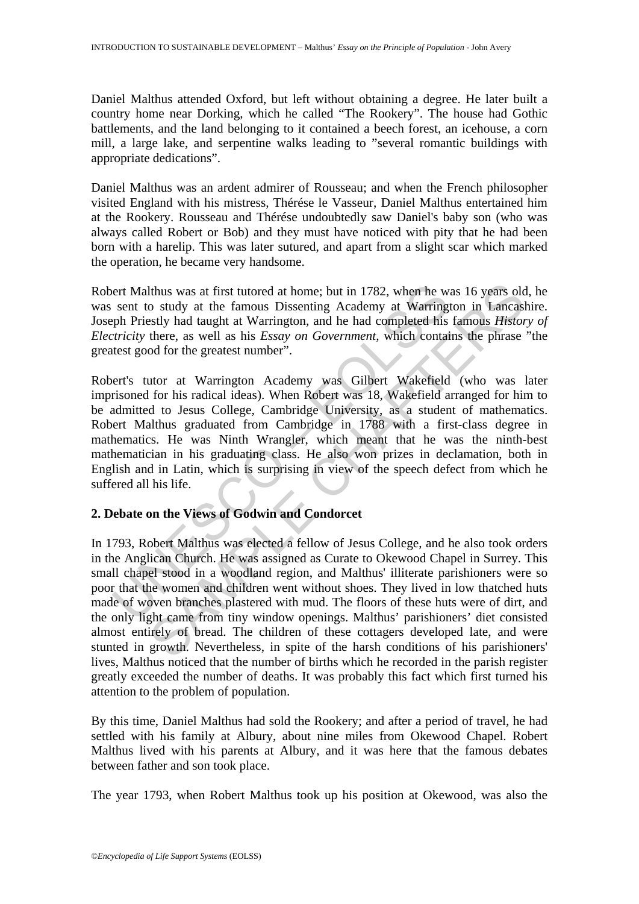Daniel Malthus attended Oxford, but left without obtaining a degree. He later built a country home near Dorking, which he called "The Rookery". The house had Gothic battlements, and the land belonging to it contained a beech forest, an icehouse, a corn mill, a large lake, and serpentine walks leading to "several romantic buildings with appropriate dedications".

Daniel Malthus was an ardent admirer of Rousseau; and when the French philosopher visited England with his mistress, Thérése le Vasseur, Daniel Malthus entertained him at the Rookery. Rousseau and Thérése undoubtedly saw Daniel's baby son (who was always called Robert or Bob) and they must have noticed with pity that he had been born with a harelip. This was later sutured, and apart from a slight scar which marked the operation, he became very handsome.

Robert Malthus was at first tutored at home; but in 1782, when he was 16 years old, he was sent to study at the famous Dissenting Academy at Warrington in Lancashire. Joseph Priestly had taught at Warrington, and he had completed his famous *History of Electricity* there, as well as his *Essay on Government*, which contains the phrase "the greatest good for the greatest number".

ert Malthus was at first tutored at home; but in 1782, when he w<br>sent to study at the famous Dissenting Academy at Warring<br>ph Priestly had taught at Warrington, and he had completed his<br>*tricity* there, as well as his *Ess* Robert's tutor at Warrington Academy was Gilbert Wakefield (who was later imprisoned for his radical ideas). When Robert was 18, Wakefield arranged for him to be admitted to Jesus College, Cambridge University, as a student of mathematics. Robert Malthus graduated from Cambridge in 1788 with a first-class degree in mathematics. He was Ninth Wrangler, which meant that he was the ninth-best mathematician in his graduating class. He also won prizes in declamation, both in English and in Latin, which is surprising in view of the speech defect from which he suffered all his life.

## **2. Debate on the Views of Godwin and Condorcet**

Ithus was at first tutored at home; but in 1782, when he was 16 years older to study at the famous Dissenting Academy at Warrington in Lancasisty had taught at Warrington, and he had completed his famous *Histon* there, as In 1793, Robert Malthus was elected a fellow of Jesus College, and he also took orders in the Anglican Church. He was assigned as Curate to Okewood Chapel in Surrey. This small chapel stood in a woodland region, and Malthus' illiterate parishioners were so poor that the women and children went without shoes. They lived in low thatched huts made of woven branches plastered with mud. The floors of these huts were of dirt, and the only light came from tiny window openings. Malthus' parishioners' diet consisted almost entirely of bread. The children of these cottagers developed late, and were stunted in growth. Nevertheless, in spite of the harsh conditions of his parishioners' lives, Malthus noticed that the number of births which he recorded in the parish register greatly exceeded the number of deaths. It was probably this fact which first turned his attention to the problem of population.

By this time, Daniel Malthus had sold the Rookery; and after a period of travel, he had settled with his family at Albury, about nine miles from Okewood Chapel. Robert Malthus lived with his parents at Albury, and it was here that the famous debates between father and son took place.

The year 1793, when Robert Malthus took up his position at Okewood, was also the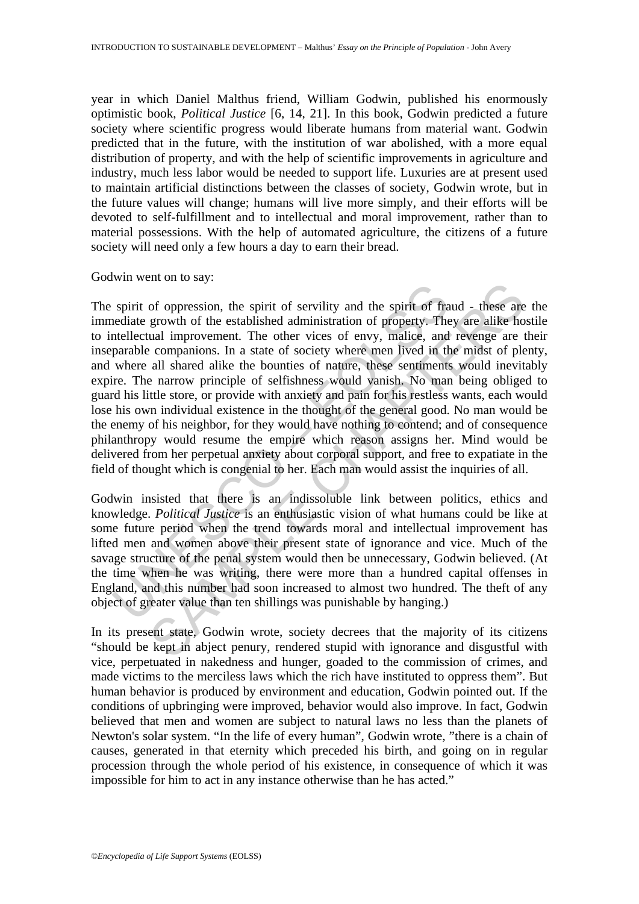year in which Daniel Malthus friend, William Godwin, published his enormously optimistic book, *Political Justice* [6, 14, 21]. In this book, Godwin predicted a future society where scientific progress would liberate humans from material want. Godwin predicted that in the future, with the institution of war abolished, with a more equal distribution of property, and with the help of scientific improvements in agriculture and industry, much less labor would be needed to support life. Luxuries are at present used to maintain artificial distinctions between the classes of society, Godwin wrote, but in the future values will change; humans will live more simply, and their efforts will be devoted to self-fulfillment and to intellectual and moral improvement, rather than to material possessions. With the help of automated agriculture, the citizens of a future society will need only a few hours a day to earn their bread.

Godwin went on to say:

spirit of oppression, the spirit of servility and the spirit of fred<br>ediate growth of the established administration of property. The<br>ntellectual improvement. The other vices of envy, malice, and<br>parable companions. In a s or oppression, the spirit of servility and the spirit of fraud - these are<br>or oppression, the spirit of servility and the spirit of fraud - these are<br>ual improvement. The other vices of envy, malice, and revenge are tecomp The spirit of oppression, the spirit of servility and the spirit of fraud - these are the immediate growth of the established administration of property. They are alike hostile to intellectual improvement. The other vices of envy, malice, and revenge are their inseparable companions. In a state of society where men lived in the midst of plenty, and where all shared alike the bounties of nature, these sentiments would inevitably expire. The narrow principle of selfishness would vanish. No man being obliged to guard his little store, or provide with anxiety and pain for his restless wants, each would lose his own individual existence in the thought of the general good. No man would be the enemy of his neighbor, for they would have nothing to contend; and of consequence philanthropy would resume the empire which reason assigns her. Mind would be delivered from her perpetual anxiety about corporal support, and free to expatiate in the field of thought which is congenial to her. Each man would assist the inquiries of all.

Godwin insisted that there is an indissoluble link between politics, ethics and knowledge. *Political Justice* is an enthusiastic vision of what humans could be like at some future period when the trend towards moral and intellectual improvement has lifted men and women above their present state of ignorance and vice. Much of the savage structure of the penal system would then be unnecessary, Godwin believed. (At the time when he was writing, there were more than a hundred capital offenses in England, and this number had soon increased to almost two hundred. The theft of any object of greater value than ten shillings was punishable by hanging.)

In its present state, Godwin wrote, society decrees that the majority of its citizens "should be kept in abject penury, rendered stupid with ignorance and disgustful with vice, perpetuated in nakedness and hunger, goaded to the commission of crimes, and made victims to the merciless laws which the rich have instituted to oppress them". But human behavior is produced by environment and education, Godwin pointed out. If the conditions of upbringing were improved, behavior would also improve. In fact, Godwin believed that men and women are subject to natural laws no less than the planets of Newton's solar system. "In the life of every human", Godwin wrote, "there is a chain of causes, generated in that eternity which preceded his birth, and going on in regular procession through the whole period of his existence, in consequence of which it was impossible for him to act in any instance otherwise than he has acted."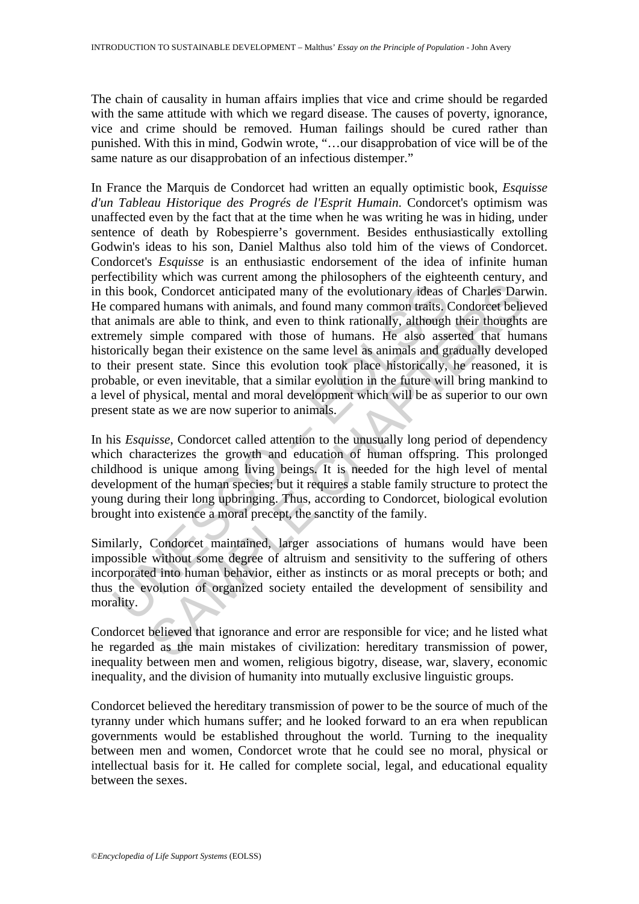The chain of causality in human affairs implies that vice and crime should be regarded with the same attitude with which we regard disease. The causes of poverty, ignorance, vice and crime should be removed. Human failings should be cured rather than punished. With this in mind, Godwin wrote, "…our disapprobation of vice will be of the same nature as our disapprobation of an infectious distemper."

is book, Condorcet anticipated many of the evolutionary ideas compared humans with animals, and found many common traits. Canimals are able to think, and even to think rationally, although emely simple compared with those is a collect and even the evolutionary ideas of Charles Dar<br>is eq lumans with animals, and found many common traits. Condorcet belief<br>ed lumans with animals, and found many common traits. Condorcet belief<br>as are able to th In France the Marquis de Condorcet had written an equally optimistic book, *Esquisse d'un Tableau Historique des Progrés de l'Esprit Humain*. Condorcet's optimism was unaffected even by the fact that at the time when he was writing he was in hiding, under sentence of death by Robespierre's government. Besides enthusiastically extolling Godwin's ideas to his son, Daniel Malthus also told him of the views of Condorcet. Condorcet's *Esquisse* is an enthusiastic endorsement of the idea of infinite human perfectibility which was current among the philosophers of the eighteenth century, and in this book, Condorcet anticipated many of the evolutionary ideas of Charles Darwin. He compared humans with animals, and found many common traits. Condorcet believed that animals are able to think, and even to think rationally, although their thoughts are extremely simple compared with those of humans. He also asserted that humans historically began their existence on the same level as animals and gradually developed to their present state. Since this evolution took place historically, he reasoned, it is probable, or even inevitable, that a similar evolution in the future will bring mankind to a level of physical, mental and moral development which will be as superior to our own present state as we are now superior to animals.

In his *Esquisse*, Condorcet called attention to the unusually long period of dependency which characterizes the growth and education of human offspring. This prolonged childhood is unique among living beings. It is needed for the high level of mental development of the human species; but it requires a stable family structure to protect the young during their long upbringing. Thus, according to Condorcet, biological evolution brought into existence a moral precept, the sanctity of the family.

Similarly, Condorcet maintained, larger associations of humans would have been impossible without some degree of altruism and sensitivity to the suffering of others incorporated into human behavior, either as instincts or as moral precepts or both; and thus the evolution of organized society entailed the development of sensibility and morality.

Condorcet believed that ignorance and error are responsible for vice; and he listed what he regarded as the main mistakes of civilization: hereditary transmission of power, inequality between men and women, religious bigotry, disease, war, slavery, economic inequality, and the division of humanity into mutually exclusive linguistic groups.

Condorcet believed the hereditary transmission of power to be the source of much of the tyranny under which humans suffer; and he looked forward to an era when republican governments would be established throughout the world. Turning to the inequality between men and women, Condorcet wrote that he could see no moral, physical or intellectual basis for it. He called for complete social, legal, and educational equality between the sexes.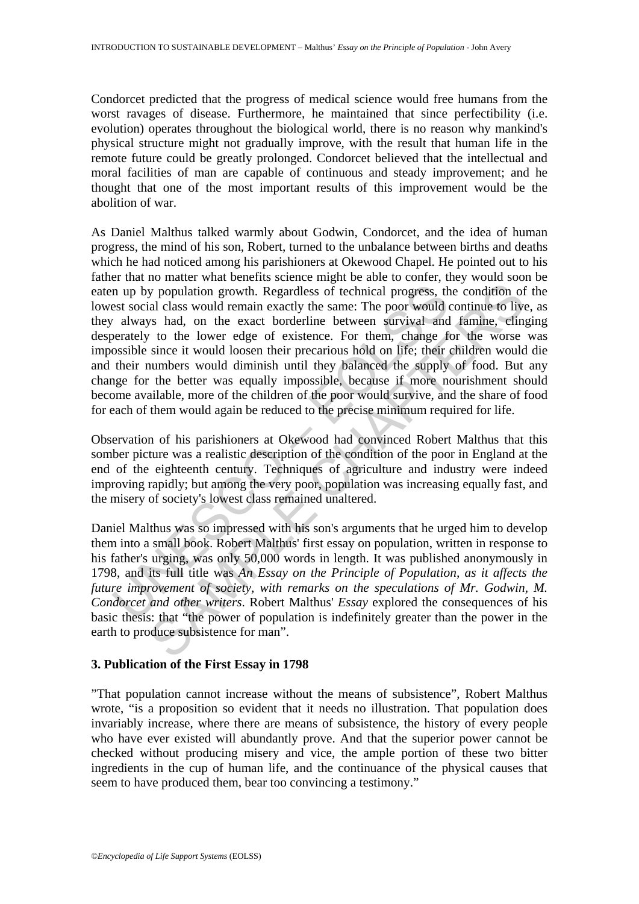Condorcet predicted that the progress of medical science would free humans from the worst ravages of disease. Furthermore, he maintained that since perfectibility (i.e. evolution) operates throughout the biological world, there is no reason why mankind's physical structure might not gradually improve, with the result that human life in the remote future could be greatly prolonged. Condorcet believed that the intellectual and moral facilities of man are capable of continuous and steady improvement; and he thought that one of the most important results of this improvement would be the abolition of war.

n up by population growth. Regardless of technical progress, thest social class would remain exactly the same: The poor would *c* always had, on the exact borderline between survival and erately to the lower edge of exist y population growth. Regardless of technical progress, the condition of<br>all class would remain exactly the same: The poor would continue to live<br>all class would remain exactly the same: The poor would continue to live<br> $\frac$ As Daniel Malthus talked warmly about Godwin, Condorcet, and the idea of human progress, the mind of his son, Robert, turned to the unbalance between births and deaths which he had noticed among his parishioners at Okewood Chapel. He pointed out to his father that no matter what benefits science might be able to confer, they would soon be eaten up by population growth. Regardless of technical progress, the condition of the lowest social class would remain exactly the same: The poor would continue to live, as they always had, on the exact borderline between survival and famine, clinging desperately to the lower edge of existence. For them, change for the worse was impossible since it would loosen their precarious hold on life; their children would die and their numbers would diminish until they balanced the supply of food. But any change for the better was equally impossible, because if more nourishment should become available, more of the children of the poor would survive, and the share of food for each of them would again be reduced to the precise minimum required for life.

Observation of his parishioners at Okewood had convinced Robert Malthus that this somber picture was a realistic description of the condition of the poor in England at the end of the eighteenth century. Techniques of agriculture and industry were indeed improving rapidly; but among the very poor, population was increasing equally fast, and the misery of society's lowest class remained unaltered.

Daniel Malthus was so impressed with his son's arguments that he urged him to develop them into a small book. Robert Malthus' first essay on population, written in response to his father's urging, was only 50,000 words in length. It was published anonymously in 1798, and its full title was *An Essay on the Principle of Population, as it affects the future improvement of society, with remarks on the speculations of Mr. Godwin, M. Condorcet and other writers*. Robert Malthus' *Essay* explored the consequences of his basic thesis: that "the power of population is indefinitely greater than the power in the earth to produce subsistence for man".

## **3. Publication of the First Essay in 1798**

"That population cannot increase without the means of subsistence", Robert Malthus wrote, "is a proposition so evident that it needs no illustration. That population does invariably increase, where there are means of subsistence, the history of every people who have ever existed will abundantly prove. And that the superior power cannot be checked without producing misery and vice, the ample portion of these two bitter ingredients in the cup of human life, and the continuance of the physical causes that seem to have produced them, bear too convincing a testimony."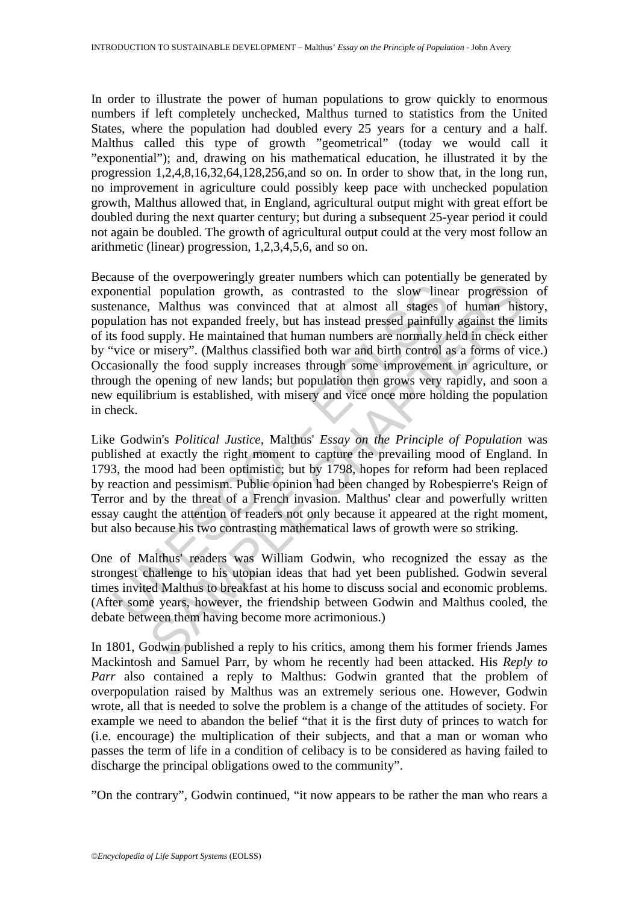In order to illustrate the power of human populations to grow quickly to enormous numbers if left completely unchecked, Malthus turned to statistics from the United States, where the population had doubled every 25 years for a century and a half. Malthus called this type of growth "geometrical" (today we would call it "exponential"); and, drawing on his mathematical education, he illustrated it by the progression 1,2,4,8,16,32,64,128,256,and so on. In order to show that, in the long run, no improvement in agriculture could possibly keep pace with unchecked population growth, Malthus allowed that, in England, agricultural output might with great effort be doubled during the next quarter century; but during a subsequent 25-year period it could not again be doubled. The growth of agricultural output could at the very most follow an arithmetic (linear) progression, 1,2,3,4,5,6, and so on.

onential population growth, as contrasted to the slow line-<br>enance, Malthus was convinced that at almost all stages c<br>ulation has not expanded freely, but has instead pressed painfully<br>s food supply. He maintained that hum I population growth, as contrasted to the slow linear progression, Malthus was convinced that at almost all stages of human his has not expanded freely, but has instead pressed painfully against the like sumply. He maintai Because of the overpoweringly greater numbers which can potentially be generated by exponential population growth, as contrasted to the slow linear progression of sustenance, Malthus was convinced that at almost all stages of human history, population has not expanded freely, but has instead pressed painfully against the limits of its food supply. He maintained that human numbers are normally held in check either by "vice or misery". (Malthus classified both war and birth control as a forms of vice.) Occasionally the food supply increases through some improvement in agriculture, or through the opening of new lands; but population then grows very rapidly, and soon a new equilibrium is established, with misery and vice once more holding the population in check.

Like Godwin's *Political Justice*, Malthus' *Essay on the Principle of Population* was published at exactly the right moment to capture the prevailing mood of England. In 1793, the mood had been optimistic; but by 1798, hopes for reform had been replaced by reaction and pessimism. Public opinion had been changed by Robespierre's Reign of Terror and by the threat of a French invasion. Malthus' clear and powerfully written essay caught the attention of readers not only because it appeared at the right moment, but also because his two contrasting mathematical laws of growth were so striking.

One of Malthus' readers was William Godwin, who recognized the essay as the strongest challenge to his utopian ideas that had yet been published. Godwin several times invited Malthus to breakfast at his home to discuss social and economic problems. (After some years, however, the friendship between Godwin and Malthus cooled, the debate between them having become more acrimonious.)

In 1801, Godwin published a reply to his critics, among them his former friends James Mackintosh and Samuel Parr, by whom he recently had been attacked. His *Reply to Parr* also contained a reply to Malthus: Godwin granted that the problem of overpopulation raised by Malthus was an extremely serious one. However, Godwin wrote, all that is needed to solve the problem is a change of the attitudes of society. For example we need to abandon the belief "that it is the first duty of princes to watch for (i.e. encourage) the multiplication of their subjects, and that a man or woman who passes the term of life in a condition of celibacy is to be considered as having failed to discharge the principal obligations owed to the community".

"On the contrary", Godwin continued, "it now appears to be rather the man who rears a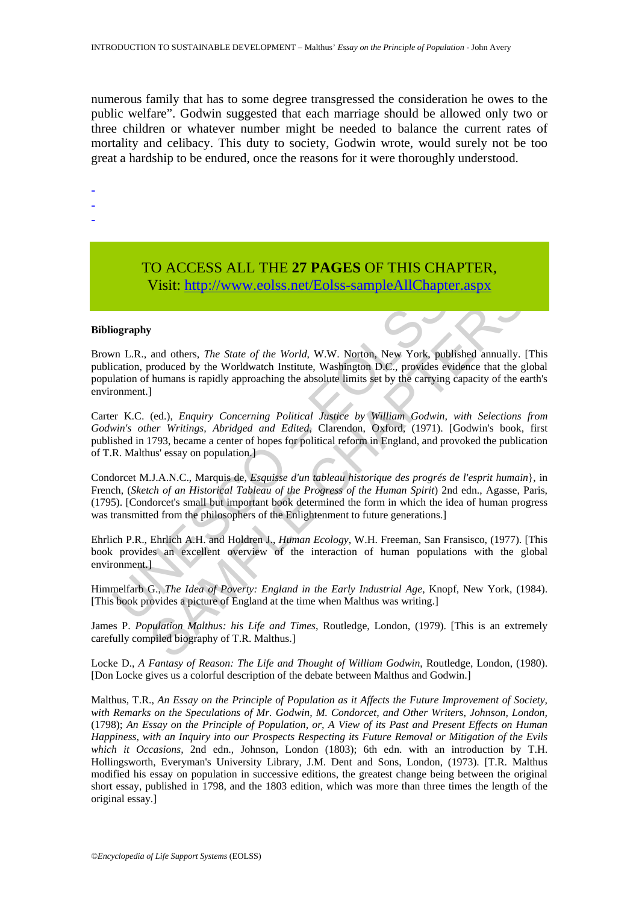numerous family that has to some degree transgressed the consideration he owes to the public welfare". Godwin suggested that each marriage should be allowed only two or three children or whatever number might be needed to balance the current rates of mortality and celibacy. This duty to society, Godwin wrote, would surely not be too great a hardship to be endured, once the reasons for it were thoroughly understood.

- -
- -
- -

# TO ACCESS ALL THE **27 PAGES** OF THIS CHAPTER, Visit: http://www.eolss.net/Eolss-sampleAllChapter.aspx

#### **Bibliography**

Brown L.R., and others, *The State of the World*, W.W. Norton, New York, published annually. [This publication, produced by the Worldwatch Institute, Washington D.C., provides evidence that the global population of humans is rapidly approaching the absolute limits set by the carrying capacity of the earth's environment.]

**V1811:** http://www.colss.net/Eolss-sampleAllChapter<br>
iography<br>
iography<br>
in L.R., and others, *The State of the World*, W.W. Norton, New York, pub<br>
incitation, produced by the Worldwatch Institute, Washington D.C., provi **Visit:**  $\frac{1}{2}$  **http://www.colss.net/Eolss-sample AllChapter.aspx**<br> **SAMPLE CHAPTE[RS](https://www.eolss.net/ebooklib/sc_cart.aspx?File=E1-45-01-02) AMPLE CONSTRANT AND AND CONSTRANT AND MANUS CONSTRANT AND MANUST CONSTRANT AND MANUST CONSTRANT AND MANUST CONSTRANT (ed.),** *Enquiry* Carter K.C. (ed.), *Enquiry Concerning Political Justice by William Godwin, with Selections from Godwin's other Writings, Abridged and Edited*, Clarendon, Oxford, (1971). [Godwin's book, first published in 1793, became a center of hopes for political reform in England, and provoked the publication of T.R. Malthus' essay on population.]

Condorcet M.J.A.N.C., Marquis de, *Esquisse d'un tableau historique des progrés de l'esprit humain*}, in French, (*Sketch of an Historical Tableau of the Progress of the Human Spirit*) 2nd edn., Agasse, Paris, (1795). [Condorcet's small but important book determined the form in which the idea of human progress was transmitted from the philosophers of the Enlightenment to future generations.

Ehrlich P.R., Ehrlich A.H. and Holdren J., *Human Ecology*, W.H. Freeman, San Fransisco, (1977). [This book provides an excellent overview of the interaction of human populations with the global environment.]

Himmelfarb G., *The Idea of Poverty: England in the Early Industrial Age,* Knopf, New York, (1984). [This book provides a picture of England at the time when Malthus was writing.]

James P. *Population Malthus: his Life and Times*, Routledge, London, (1979). [This is an extremely carefully compiled biography of T.R. Malthus.]

Locke D., *A Fantasy of Reason: The Life and Thought of William Godwin*, Routledge, London, (1980). [Don Locke gives us a colorful description of the debate between Malthus and Godwin.]

Malthus, T.R., *An Essay on the Principle of Population as it Affects the Future Improvement of Society,*  with Remarks on the Speculations of Mr. Godwin, M. Condorcet, and Other Writers, Johnson, London, (1798); *An Essay on the Principle of Population, or, A View of its Past and Present Effects on Human Happiness, with an Inquiry into our Prospects Respecting its Future Removal or Mitigation of the Evils which it Occasions,* 2nd edn., Johnson, London (1803); 6th edn. with an introduction by T.H. Hollingsworth, Everyman's University Library, J.M. Dent and Sons, London, (1973). [T.R. Malthus modified his essay on population in successive editions, the greatest change being between the original short essay, published in 1798, and the 1803 edition, which was more than three times the length of the original essay.]